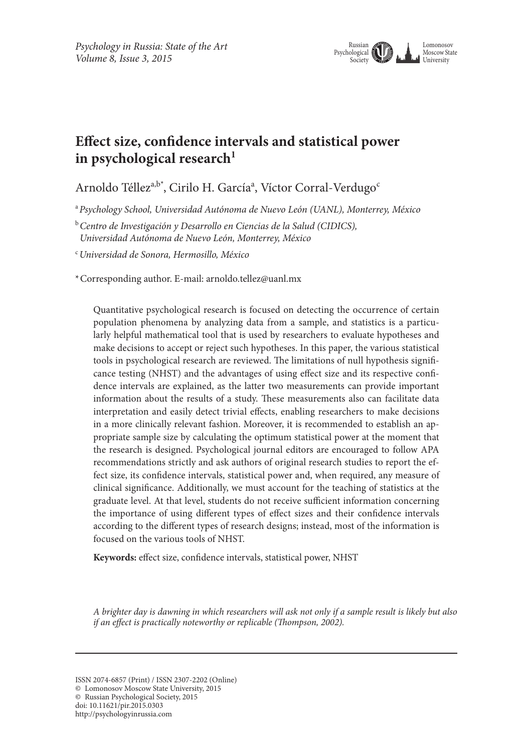

# **Effect size, confidence intervals and statistical power in** psychological research<sup>1</sup>

# Arnoldo Téllez<sup>a,b\*</sup>, Cirilo H. García<sup>a</sup>, Víctor Corral-Verdugo<sup>c</sup>

<sup>a</sup>*Psychology School, Universidad Autónoma de Nuevo León (UANL), Monterrey, México*

<sup>b</sup>*Centro de Investigación y Desarrollo en Ciencias de la Salud (CIDICS), Universidad Autónoma de Nuevo León, Monterrey, México*

<sup>c</sup>*Universidad de Sonora, Hermosillo, México*

\*Corresponding author. E-mail: arnoldo.tellez@uanl.mx

Quantitative psychological research is focused on detecting the occurrence of certain population phenomena by analyzing data from a sample, and statistics is a particularly helpful mathematical tool that is used by researchers to evaluate hypotheses and make decisions to accept or reject such hypotheses. In this paper, the various statistical tools in psychological research are reviewed. The limitations of null hypothesis significance testing (NHST) and the advantages of using effect size and its respective confidence intervals are explained, as the latter two measurements can provide important information about the results of a study. These measurements also can facilitate data interpretation and easily detect trivial effects, enabling researchers to make decisions in a more clinically relevant fashion. Moreover, it is recommended to establish an appropriate sample size by calculating the optimum statistical power at the moment that the research is designed. Psychological journal editors are encouraged to follow APA recommendations strictly and ask authors of original research studies to report the effect size, its confidence intervals, statistical power and, when required, any measure of clinical significance. Additionally, we must account for the teaching of statistics at the graduate level. At that level, students do not receive sufficient information concerning the importance of using different types of effect sizes and their confidence intervals according to the different types of research designs; instead, most of the information is focused on the various tools of NHST.

**Keywords:** effect size, confidence intervals, statistical power, NHST

1 *A brighter day is dawning in which researchers will ask not only if a sample result is likely but also if an effect is practically noteworthy or replicable (Thompson, 2002).*

ISSN 2074-6857 (Print) / ISSN 2307-2202 (Online)

<sup>©</sup> Lomonosov Moscow State University, 2015

<sup>©</sup> Russian Psychological Society, 2015

doi: 10.11621/pir.2015.0303 http://psychologyinrussia.com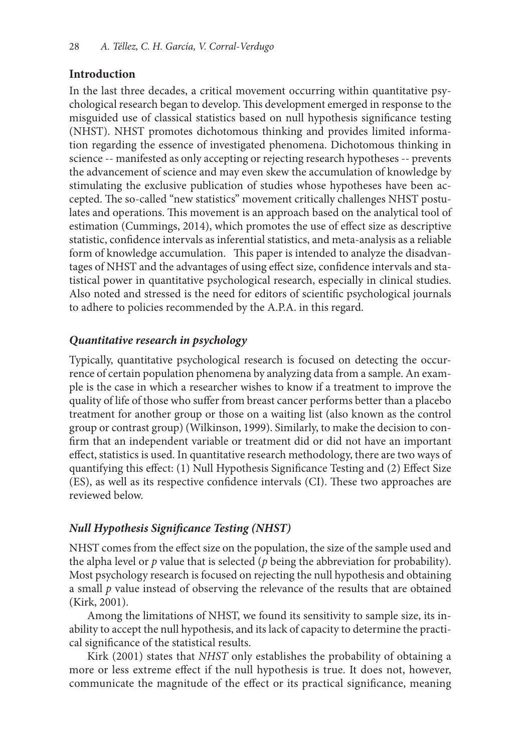## **Introduction**

In the last three decades, a critical movement occurring within quantitative psychological research began to develop. This development emerged in response to the misguided use of classical statistics based on null hypothesis significance testing (NHST). NHST promotes dichotomous thinking and provides limited information regarding the essence of investigated phenomena. Dichotomous thinking in science -- manifested as only accepting or rejecting research hypotheses -- prevents the advancement of science and may even skew the accumulation of knowledge by stimulating the exclusive publication of studies whose hypotheses have been accepted. The so-called "new statistics" movement critically challenges NHST postulates and operations. This movement is an approach based on the analytical tool of estimation (Cummings, 2014), which promotes the use of effect size as descriptive statistic, confidence intervals as inferential statistics, and meta-analysis as a reliable form of knowledge accumulation. This paper is intended to analyze the disadvantages of NHST and the advantages of using effect size, confidence intervals and statistical power in quantitative psychological research, especially in clinical studies. Also noted and stressed is the need for editors of scientific psychological journals to adhere to policies recommended by the A.P.A. in this regard.

## *Quantitative research in psychology*

Typically, quantitative psychological research is focused on detecting the occurrence of certain population phenomena by analyzing data from a sample. An example is the case in which a researcher wishes to know if a treatment to improve the quality of life of those who suffer from breast cancer performs better than a placebo treatment for another group or those on a waiting list (also known as the control group or contrast group) (Wilkinson, 1999). Similarly, to make the decision to confirm that an independent variable or treatment did or did not have an important effect, statistics is used. In quantitative research methodology, there are two ways of quantifying this effect: (1) Null Hypothesis Significance Testing and (2) Effect Size (ES), as well as its respective confidence intervals (CI). These two approaches are reviewed below.

## *Null Hypothesis Significance Testing (NHST)*

NHST comes from the effect size on the population, the size of the sample used and the alpha level or  $p$  value that is selected ( $p$  being the abbreviation for probability). Most psychology research is focused on rejecting the null hypothesis and obtaining a small *p* value instead of observing the relevance of the results that are obtained (Kirk, 2001).

Among the limitations of NHST, we found its sensitivity to sample size, its inability to accept the null hypothesis, and its lack of capacity to determine the practical significance of the statistical results.

Kirk (2001) states that *NHST* only establishes the probability of obtaining a more or less extreme effect if the null hypothesis is true. It does not, however, communicate the magnitude of the effect or its practical significance, meaning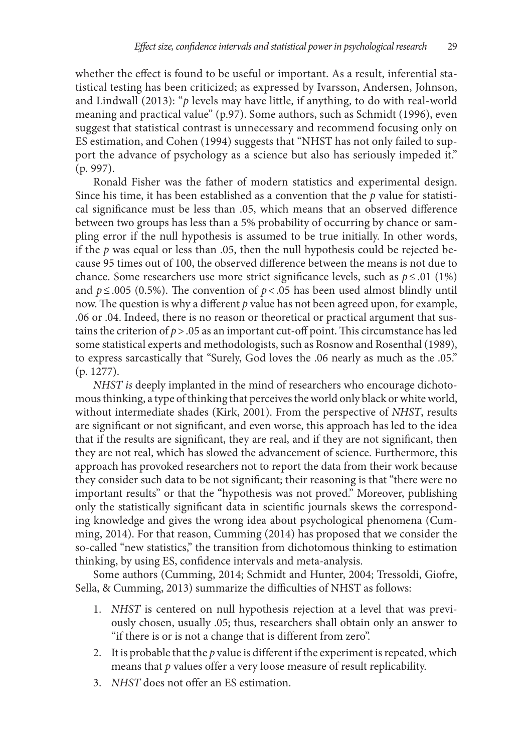whether the effect is found to be useful or important. As a result, inferential statistical testing has been criticized; as expressed by Ivarsson, Andersen, Johnson, and Lindwall (2013): "*p* levels may have little, if anything, to do with real-world meaning and practical value" (p.97). Some authors, such as Schmidt (1996), even suggest that statistical contrast is unnecessary and recommend focusing only on ES estimation, and Cohen (1994) suggests that "NHST has not only failed to support the advance of psychology as a science but also has seriously impeded it." (p. 997).

Ronald Fisher was the father of modern statistics and experimental design. Since his time, it has been established as a convention that the *p* value for statistical significance must be less than .05, which means that an observed difference between two groups has less than a 5% probability of occurring by chance or sampling error if the null hypothesis is assumed to be true initially. In other words, if the *p* was equal or less than .05, then the null hypothesis could be rejected because 95 times out of 100, the observed difference between the means is not due to chance. Some researchers use more strict significance levels, such as  $p \le 0.01$  (1%) and *p*≤.005 (0.5%). The convention of *p*<.05 has been used almost blindly until now. The question is why a different *p* value has not been agreed upon, for example, .06 or .04. Indeed, there is no reason or theoretical or practical argument that sustains the criterion of  $p > 0.05$  as an important cut-off point. This circumstance has led some statistical experts and methodologists, such as Rosnow and Rosenthal (1989), to express sarcastically that "Surely, God loves the .06 nearly as much as the .05." (p. 1277).

*NHST is* deeply implanted in the mind of researchers who encourage dichotomous thinking, a type of thinking that perceives the world only black or white world, without intermediate shades (Kirk, 2001). From the perspective of *NHST*, results are significant or not significant, and even worse, this approach has led to the idea that if the results are significant, they are real, and if they are not significant, then they are not real, which has slowed the advancement of science. Furthermore, this approach has provoked researchers not to report the data from their work because they consider such data to be not significant; their reasoning is that "there were no important results" or that the "hypothesis was not proved." Moreover, publishing only the statistically significant data in scientific journals skews the corresponding knowledge and gives the wrong idea about psychological phenomena (Cumming, 2014). For that reason, Cumming (2014) has proposed that we consider the so-called "new statistics," the transition from dichotomous thinking to estimation thinking, by using ES, confidence intervals and meta-analysis.

Some authors (Cumming, 2014; Schmidt and Hunter, 2004; Tressoldi, Giofre, Sella, & Cumming, 2013) summarize the difficulties of NHST as follows:

- 1. *NHST* is centered on null hypothesis rejection at a level that was previously chosen, usually .05; thus, researchers shall obtain only an answer to "if there is or is not a change that is different from zero".
- 2. It is probable that the *p* value is different if the experiment is repeated, which means that *p* values offer a very loose measure of result replicability.
- 3. *NHST* does not offer an ES estimation.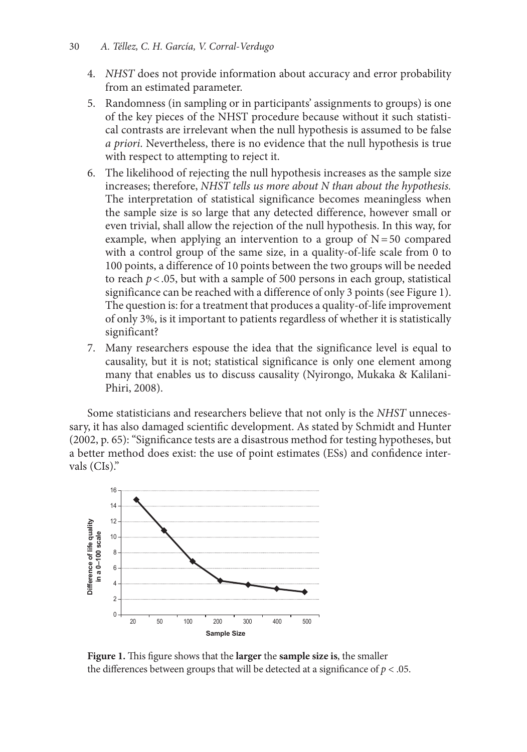- 4. *NHST* does not provide information about accuracy and error probability from an estimated parameter.
- 5. Randomness (in sampling or in participants' assignments to groups) is one of the key pieces of the NHST procedure because without it such statistical contrasts are irrelevant when the null hypothesis is assumed to be false *a priori*. Nevertheless, there is no evidence that the null hypothesis is true with respect to attempting to reject it.
- 6. The likelihood of rejecting the null hypothesis increases as the sample size increases; therefore, *NHST tells us more about N than about the hypothesis.*  The interpretation of statistical significance becomes meaningless when the sample size is so large that any detected difference, however small or even trivial, shall allow the rejection of the null hypothesis. In this way, for example, when applying an intervention to a group of  $N=50$  compared with a control group of the same size, in a quality-of-life scale from 0 to 100 points, a difference of 10 points between the two groups will be needed to reach  $p < .05$ , but with a sample of 500 persons in each group, statistical significance can be reached with a difference of only 3 points (see Figure 1). The question is: for a treatment that produces a quality-of-life improvement of only 3%, is it important to patients regardless of whether it is statistically significant?
- 7. Many researchers espouse the idea that the significance level is equal to causality, but it is not; statistical significance is only one element among many that enables us to discuss causality (Nyirongo, Mukaka & Kalilani-Phiri, 2008).

Some statisticians and researchers believe that not only is the *NHST* unnecessary, it has also damaged scientific development. As stated by Schmidt and Hunter (2002, p. 65): "Significance tests are a disastrous method for testing hypotheses, but a better method does exist: the use of point estimates (ESs) and confidence intervals (CIs)."



**Figure 1.** This figure shows that the **larger** the **sample size is**, the smaller the differences between groups that will be detected at a significance of  $p < .05$ .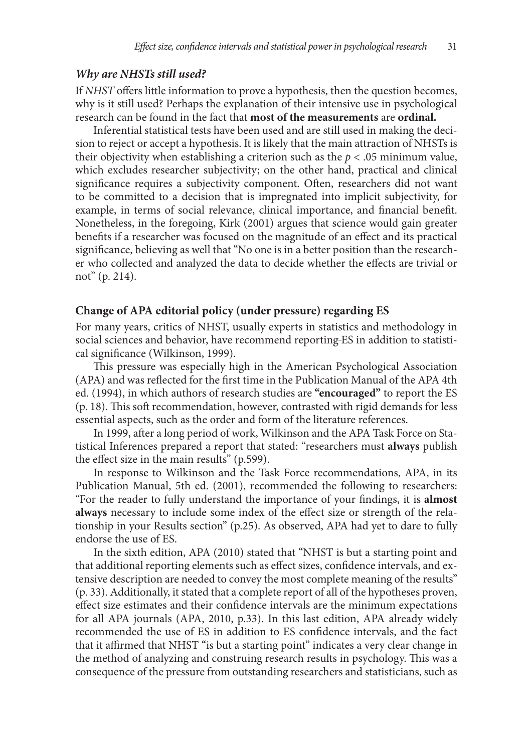## *Why are NHSTs still used?*

If *NHST* offers little information to prove a hypothesis, then the question becomes, why is it still used? Perhaps the explanation of their intensive use in psychological research can be found in the fact that **most of the measurements** are **ordinal.**

Inferential statistical tests have been used and are still used in making the decision to reject or accept a hypothesis. It is likely that the main attraction of NHSTs is their objectivity when establishing a criterion such as the  $p < .05$  minimum value, which excludes researcher subjectivity; on the other hand, practical and clinical significance requires a subjectivity component. Often, researchers did not want to be committed to a decision that is impregnated into implicit subjectivity, for example, in terms of social relevance, clinical importance, and financial benefit. Nonetheless, in the foregoing, Kirk (2001) argues that science would gain greater benefits if a researcher was focused on the magnitude of an effect and its practical significance, believing as well that "No one is in a better position than the researcher who collected and analyzed the data to decide whether the effects are trivial or not" (p. 214).

#### **Change of APA editorial policy (under pressure) regarding ES**

For many years, critics of NHST, usually experts in statistics and methodology in social sciences and behavior, have recommend reporting ES in addition to statistical significance (Wilkinson, 1999).

This pressure was especially high in the American Psychological Association (APA) and was reflected for the first time in the Publication Manual of the APA 4th ed. (1994), in which authors of research studies are **"encouraged"** to report the ES (p. 18). This soft recommendation, however, contrasted with rigid demands for less essential aspects, such as the order and form of the literature references.

In 1999, after a long period of work, Wilkinson and the APA Task Force on Statistical Inferences prepared a report that stated: "researchers must **always** publish the effect size in the main results" (p.599).

In response to Wilkinson and the Task Force recommendations, APA, in its Publication Manual, 5th ed. (2001), recommended the following to researchers: "For the reader to fully understand the importance of your findings, it is **almost always** necessary to include some index of the effect size or strength of the relationship in your Results section" (p.25). As observed, APA had yet to dare to fully endorse the use of ES.

In the sixth edition, APA (2010) stated that "NHST is but a starting point and that additional reporting elements such as effect sizes, confidence intervals, and extensive description are needed to convey the most complete meaning of the results" (p. 33). Additionally, it stated that a complete report of all of the hypotheses proven, effect size estimates and their confidence intervals are the minimum expectations for all APA journals (APA, 2010, p.33). In this last edition, APA already widely recommended the use of ES in addition to ES confidence intervals, and the fact that it affirmed that NHST "is but a starting point" indicates a very clear change in the method of analyzing and construing research results in psychology. This was a consequence of the pressure from outstanding researchers and statisticians, such as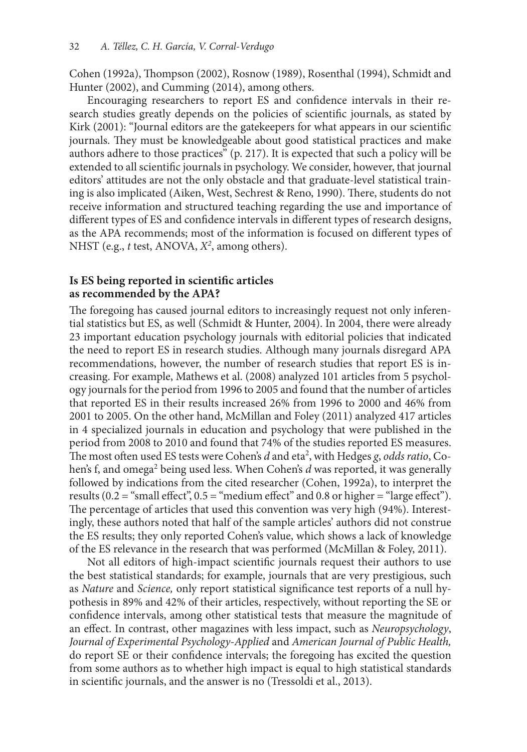Cohen (1992a), Thompson (2002), Rosnow (1989), Rosenthal (1994), Schmidt and Hunter (2002), and Cumming (2014), among others.

Encouraging researchers to report ES and confidence intervals in their research studies greatly depends on the policies of scientific journals, as stated by Kirk (2001): "Journal editors are the gatekeepers for what appears in our scientific journals. They must be knowledgeable about good statistical practices and make authors adhere to those practices" (p. 217). It is expected that such a policy will be extended to all scientific journals in psychology. We consider, however, that journal editors' attitudes are not the only obstacle and that graduate-level statistical training is also implicated (Aiken, West, Sechrest & Reno, 1990). There, students do not receive information and structured teaching regarding the use and importance of different types of ES and confidence intervals in different types of research designs, as the APA recommends; most of the information is focused on different types of NHST (e.g., *t* test, ANOVA, *X2* , among others).

## **Is ES being reported in scientific articles as recommended by the APA?**

The foregoing has caused journal editors to increasingly request not only inferential statistics but ES, as well (Schmidt & Hunter, 2004). In 2004, there were already 23 important education psychology journals with editorial policies that indicated the need to report ES in research studies. Although many journals disregard APA recommendations, however, the number of research studies that report ES is increasing. For example, Mathews et al. (2008) analyzed 101 articles from 5 psychology journals for the period from 1996 to 2005 and found that the number of articles that reported ES in their results increased 26% from 1996 to 2000 and 46% from 2001 to 2005. On the other hand, McMillan and Foley (2011) analyzed 417 articles in 4 specialized journals in education and psychology that were published in the period from 2008 to 2010 and found that 74% of the studies reported ES measures. The most often used ES tests were Cohen's *d* and eta<sup>2</sup>, with Hedges *g*, *odds ratio*, Cohen's f, and omega<sup>2</sup> being used less. When Cohen's *d* was reported, it was generally followed by indications from the cited researcher (Cohen, 1992a), to interpret the results  $(0.2 = "small effect", 0.5 = "medium effect" and 0.8 or higher = "large effect").$ The percentage of articles that used this convention was very high (94%). Interestingly, these authors noted that half of the sample articles' authors did not construe the ES results; they only reported Cohen's value, which shows a lack of knowledge of the ES relevance in the research that was performed (McMillan & Foley, 2011).

Not all editors of high-impact scientific journals request their authors to use the best statistical standards; for example, journals that are very prestigious, such as *Nature* and *Science,* only report statistical significance test reports of a null hypothesis in 89% and 42% of their articles, respectively, without reporting the SE or confidence intervals, among other statistical tests that measure the magnitude of an effect. In contrast, other magazines with less impact, such as *Neuropsychology*, *Journal of Experimental Psychology-Applied* and *American Journal of Public Health,* do report SE or their confidence intervals; the foregoing has excited the question from some authors as to whether high impact is equal to high statistical standards in scientific journals, and the answer is no (Tressoldi et al., 2013).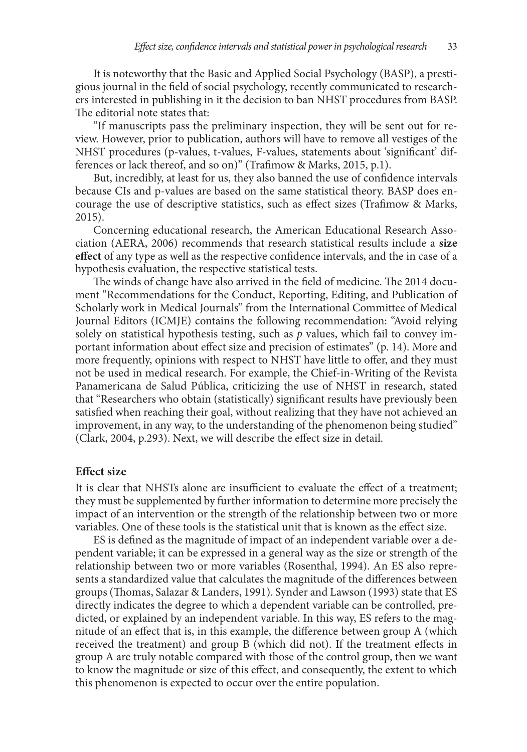It is noteworthy that the Basic and Applied Social Psychology (BASP), a prestigious journal in the field of social psychology, recently communicated to researchers interested in publishing in it the decision to ban NHST procedures from BASP. The editorial note states that:

"If manuscripts pass the preliminary inspection, they will be sent out for review. However, prior to publication, authors will have to remove all vestiges of the NHST procedures (p-values, t-values, F-values, statements about 'significant' differences or lack thereof, and so on)" (Trafimow & Marks, 2015, p.1).

But, incredibly, at least for us, they also banned the use of confidence intervals because CIs and p-values are based on the same statistical theory. BASP does encourage the use of descriptive statistics, such as effect sizes (Trafimow & Marks, 2015).

Concerning educational research, the American Educational Research Association (AERA, 2006) recommends that research statistical results include a **size effect** of any type as well as the respective confidence intervals, and the in case of a hypothesis evaluation, the respective statistical tests.

The winds of change have also arrived in the field of medicine. The 2014 document "Recommendations for the Conduct, Reporting, Editing, and Publication of Scholarly work in Medical Journals" from the International Committee of Medical Journal Editors (ICMJE) contains the following recommendation: "Avoid relying solely on statistical hypothesis testing, such as *p* values, which fail to convey important information about effect size and precision of estimates" (p. 14). More and more frequently, opinions with respect to NHST have little to offer, and they must not be used in medical research. For example, the Chief-in-Writing of the Revista Panamericana de Salud Pública, criticizing the use of NHST in research, stated that "Researchers who obtain (statistically) significant results have previously been satisfied when reaching their goal, without realizing that they have not achieved an improvement, in any way, to the understanding of the phenomenon being studied" (Clark, 2004, p.293). Next, we will describe the effect size in detail.

## **Effect size**

It is clear that NHSTs alone are insufficient to evaluate the effect of a treatment; they must be supplemented by further information to determine more precisely the impact of an intervention or the strength of the relationship between two or more variables. One of these tools is the statistical unit that is known as the effect size.

ES is defined as the magnitude of impact of an independent variable over a dependent variable; it can be expressed in a general way as the size or strength of the relationship between two or more variables (Rosenthal, 1994). An ES also represents a standardized value that calculates the magnitude of the differences between groups (Thomas, Salazar & Landers, 1991). Synder and Lawson (1993) state that ES directly indicates the degree to which a dependent variable can be controlled, predicted, or explained by an independent variable. In this way, ES refers to the magnitude of an effect that is, in this example, the difference between group A (which received the treatment) and group B (which did not). If the treatment effects in group A are truly notable compared with those of the control group, then we want to know the magnitude or size of this effect, and consequently, the extent to which this phenomenon is expected to occur over the entire population.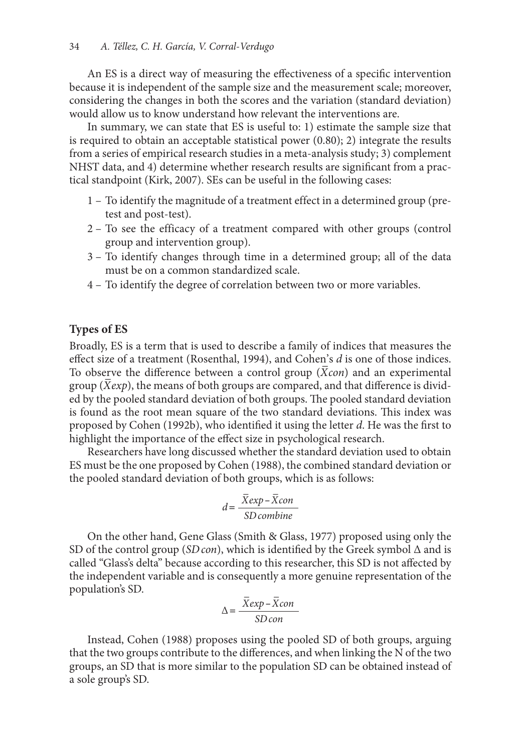An ES is a direct way of measuring the effectiveness of a specific intervention because it is independent of the sample size and the measurement scale; moreover, considering the changes in both the scores and the variation (standard deviation) would allow us to know understand how relevant the interventions are.

In summary, we can state that ES is useful to: 1) estimate the sample size that is required to obtain an acceptable statistical power (0.80); 2) integrate the results from a series of empirical research studies in a meta-analysis study; 3) complement NHST data, and 4) determine whether research results are significant from a practical standpoint (Kirk, 2007). SEs can be useful in the following cases:

- 1 To identify the magnitude of a treatment effect in a determined group (pretest and post-test).
- 2 To see the efficacy of a treatment compared with other groups (control group and intervention group).
- 3 To identify changes through time in a determined group; all of the data must be on a common standardized scale.
- 4 To identify the degree of correlation between two or more variables.

## **Types of ES**

Broadly, ES is a term that is used to describe a family of indices that measures the effect size of a treatment (Rosenthal, 1994), and Cohen's *d* is one of those indices. Einect size of a treatment (Rosenthal, 1994), and Conen s *a* is one of those mattes.<br>To observe the difference between a control group ( $\overline{X}$ *con*) and an experimental Fo observe the unterleft between a control group  $(X$ *on*) and an experimental group  $(\overline{X}exp)$ , the means of both groups are compared, and that difference is divided by the pooled standard deviation of both groups. The pooled standard deviation is found as the root mean square of the two standard deviations. This index was proposed by Cohen (1992b), who identified it using the letter *d*. He was the first to highlight the importance of the effect size in psychological research.

Researchers have long discussed whether the standard deviation used to obtain ES must be the one proposed by Cohen (1988), the combined standard deviation or the pooled standard deviation of both groups, which is as follows:

$$
d = \frac{\overline{X} \exp - \overline{X} \cos}{SD \text{ combine}}
$$

On the other hand, Gene Glass (Smith & Glass, 1977) proposed using only the SD of the control group (*SDcon*), which is identified by the Greek symbol ∆ and is called "Glass's delta" because according to this researcher, this SD is not affected by the independent variable and is consequently a more genuine representation of the population's SD.

$$
\Delta = \frac{\overline{X} \exp - \overline{X} \cos}{SD \cos}
$$

Instead, Cohen (1988) proposes using the pooled SD of both groups, arguing that the two groups contribute to the differences, and when linking the N of the two groups, an SD that is more similar to the population SD can be obtained instead of a sole group's SD.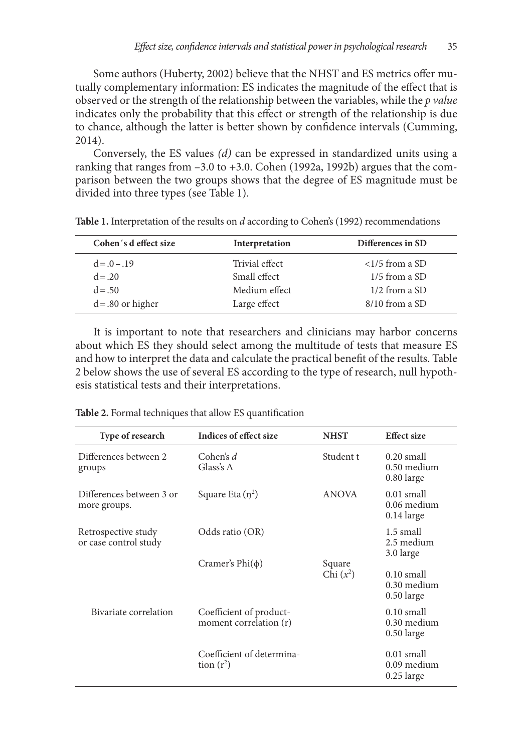Some authors (Huberty, 2002) believe that the NHST and ES metrics offer mutually complementary information: ES indicates the magnitude of the effect that is observed or the strength of the relationship between the variables, while the *p value* indicates only the probability that this effect or strength of the relationship is due to chance, although the latter is better shown by confidence intervals (Cumming, 2014).

Conversely, the ES values *(d)* can be expressed in standardized units using a ranking that ranges from –3.0 to +3.0. Cohen (1992a, 1992b) argues that the comparison between the two groups shows that the degree of ES magnitude must be divided into three types (see Table 1).

| Cohen's deffect size | Interpretation | Differences in SD       |
|----------------------|----------------|-------------------------|
| $d = .0-.19$         | Trivial effect | $\langle 1/5$ from a SD |
| $d = .20$            | Small effect   | $1/5$ from a SD         |
| $d = .50$            | Medium effect  | $1/2$ from a SD         |
| $d = .80$ or higher  | Large effect   | $8/10$ from a SD        |

**Table 1.** Interpretation of the results on *d* according to Cohen's (1992) recommendations

It is important to note that researchers and clinicians may harbor concerns about which ES they should select among the multitude of tests that measure ES and how to interpret the data and calculate the practical benefit of the results. Table 2 below shows the use of several ES according to the type of research, null hypothesis statistical tests and their interpretations.

**Table 2.** Formal techniques that allow ES quantification

| Type of research                             | Indices of effect size                            | <b>NHST</b>           | <b>Effect size</b>                            |
|----------------------------------------------|---------------------------------------------------|-----------------------|-----------------------------------------------|
| Differences between 2<br>groups              | Cohen's $d$<br>Glass's $\Delta$                   | Student t             | $0.20$ small<br>$0.50$ medium<br>$0.80$ large |
| Differences between 3 or<br>more groups.     | Square Eta $(\eta^2)$                             | <b>ANOVA</b>          | $0.01$ small<br>$0.06$ medium<br>$0.14$ large |
| Retrospective study<br>or case control study | Odds ratio (OR)                                   |                       | 1.5 small<br>2.5 medium<br>3.0 large          |
|                                              | Cramer's $Phi(\phi)$                              | Square<br>Chi $(x^2)$ | $0.10$ small<br>$0.30$ medium<br>$0.50$ large |
| Bivariate correlation                        | Coefficient of product-<br>moment correlation (r) |                       | $0.10$ small<br>$0.30$ medium<br>$0.50$ large |
|                                              | Coefficient of determina-<br>tion $(r^2)$         |                       | $0.01$ small<br>$0.09$ medium<br>$0.25$ large |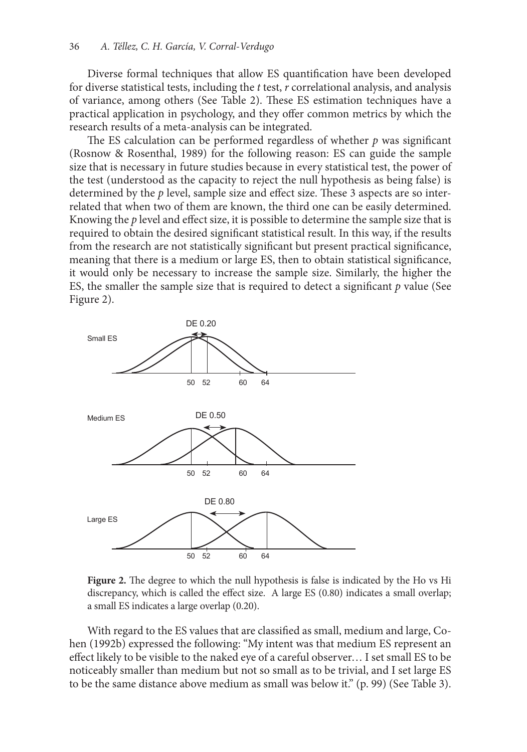Diverse formal techniques that allow ES quantification have been developed for diverse statistical tests, including the *t* test, *r* correlational analysis, and analysis of variance, among others (See Table 2). These ES estimation techniques have a practical application in psychology, and they offer common metrics by which the research results of a meta-analysis can be integrated.

The ES calculation can be performed regardless of whether *p* was significant (Rosnow & Rosenthal, 1989) for the following reason: ES can guide the sample size that is necessary in future studies because in every statistical test, the power of the test (understood as the capacity to reject the null hypothesis as being false) is determined by the *p* level, sample size and effect size. These 3 aspects are so interrelated that when two of them are known, the third one can be easily determined. Knowing the *p* level and effect size, it is possible to determine the sample size that is required to obtain the desired significant statistical result. In this way, if the results from the research are not statistically significant but present practical significance, meaning that there is a medium or large ES, then to obtain statistical significance, it would only be necessary to increase the sample size. Similarly, the higher the ES, the smaller the sample size that is required to detect a significant *p* value (See Figure 2).



**Figure 2.** The degree to which the null hypothesis is false is indicated by the Ho vs Hi discrepancy, which is called the effect size. A large ES (0.80) indicates a small overlap; a small ES indicates a large overlap (0.20).

With regard to the ES values that are classified as small, medium and large, Cohen (1992b) expressed the following: "My intent was that medium ES represent an effect likely to be visible to the naked eye of a careful observer… I set small ES to be noticeably smaller than medium but not so small as to be trivial, and I set large ES to be the same distance above medium as small was below it." (p. 99) (See Table 3).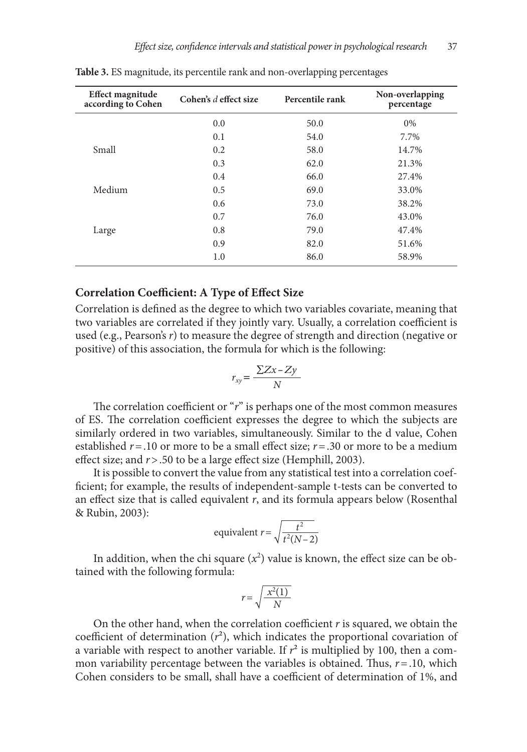| <b>Effect magnitude</b><br>according to Cohen | Cohen's d effect size | Percentile rank | Non-overlapping<br>percentage |
|-----------------------------------------------|-----------------------|-----------------|-------------------------------|
|                                               | 0.0                   | 50.0            | 0%                            |
| Small                                         | 0.1                   | 54.0            | 7.7%                          |
|                                               | 0.2                   | 58.0            | 14.7%                         |
|                                               | 0.3                   | 62.0            | 21.3%                         |
|                                               | 0.4                   | 66.0            | 27.4%                         |
| Medium                                        | 0.5                   | 69.0            | 33.0%                         |
|                                               | 0.6                   | 73.0            | 38.2%                         |
| Large                                         | 0.7                   | 76.0            | 43.0%                         |
|                                               | 0.8                   | 79.0            | 47.4%                         |
|                                               | 0.9                   | 82.0            | 51.6%                         |
|                                               | 1.0                   | 86.0            | 58.9%                         |

**Table 3.** ES magnitude, its percentile rank and non-overlapping percentages

### **Correlation Coefficient: A Type of Effect Size**

Correlation is defined as the degree to which two variables covariate, meaning that two variables are correlated if they jointly vary. Usually, a correlation coefficient is used (e.g., Pearson's *r*) to measure the degree of strength and direction (negative or positive) of this association, the formula for which is the following:

$$
r_{xy} = \frac{\sum Zx - Zy}{N}
$$

The correlation coefficient or "*r*" is perhaps one of the most common measures of ES. The correlation coefficient expresses the degree to which the subjects are similarly ordered in two variables, simultaneously. Similar to the d value, Cohen established *r*=.10 or more to be a small effect size; *r*=.30 or more to be a medium effect size; and *r*>.50 to be a large effect size (Hemphill, 2003).

It is possible to convert the value from any statistical test into a correlation coefficient; for example, the results of independent-sample t-tests can be converted to an effect size that is called equivalent *r*, and its formula appears below (Rosenthal & Rubin, 2003):

equivalent 
$$
r = \sqrt{\frac{t^2}{t^2(N-2)}}
$$

In addition, when the chi square  $(x^2)$  value is known, the effect size can be obtained with the following formula:

$$
r = \sqrt{\frac{x^2(1)}{N}}
$$

On the other hand, when the correlation coefficient *r* is squared, we obtain the coefficient of determination  $(r^2)$ , which indicates the proportional covariation of a variable with respect to another variable. If  $r^2$  is multiplied by 100, then a common variability percentage between the variables is obtained. Thus, *r*=.10, which Cohen considers to be small, shall have a coefficient of determination of 1%, and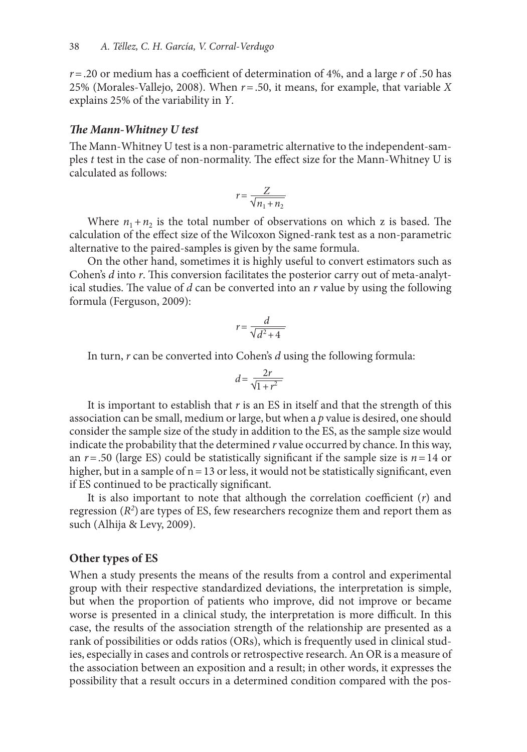*r*=.20 or medium has a coefficient of determination of 4%, and a large *r* of .50 has 25% (Morales-Vallejo, 2008). When *r*=.50, it means, for example, that variable *X*  explains 25% of the variability in *Y*.

### *The Mann-Whitney U test*

The Mann-Whitney U test is a non-parametric alternative to the independent-samples *t* test in the case of non-normality. The effect size for the Mann-Whitney U is calculated as follows:

$$
r = \frac{Z}{\sqrt{n_1 + n_2}}
$$

Where  $n_1 + n_2$  is the total number of observations on which z is based. The calculation of the effect size of the Wilcoxon Signed-rank test as a non-parametric alternative to the paired-samples is given by the same formula.

On the other hand, sometimes it is highly useful to convert estimators such as Cohen's *d* into *r*. This conversion facilitates the posterior carry out of meta-analytical studies. The value of *d* can be converted into an *r* value by using the following formula (Ferguson, 2009):

$$
r = \frac{d}{\sqrt{d^2 + 4}}
$$

In turn, *r* can be converted into Cohen's *d* using the following formula:

$$
d = \frac{2r}{\sqrt{1 + r^2}}
$$

It is important to establish that *r* is an ES in itself and that the strength of this association can be small, medium or large, but when a *p* value is desired, one should consider the sample size of the study in addition to the ES, as the sample size would indicate the probability that the determined *r* value occurred by chance. In this way, an  $r = .50$  (large ES) could be statistically significant if the sample size is  $n = 14$  or higher, but in a sample of  $n=13$  or less, it would not be statistically significant, even if ES continued to be practically significant.

It is also important to note that although the correlation coefficient (*r*) and regression  $(R^2)$  are types of ES, few researchers recognize them and report them as such (Alhija & Levy, 2009).

## **Other types of ES**

When a study presents the means of the results from a control and experimental group with their respective standardized deviations, the interpretation is simple, but when the proportion of patients who improve, did not improve or became worse is presented in a clinical study, the interpretation is more difficult. In this case, the results of the association strength of the relationship are presented as a rank of possibilities or odds ratios (ORs), which is frequently used in clinical studies, especially in cases and controls or retrospective research. An OR is a measure of the association between an exposition and a result; in other words, it expresses the possibility that a result occurs in a determined condition compared with the pos-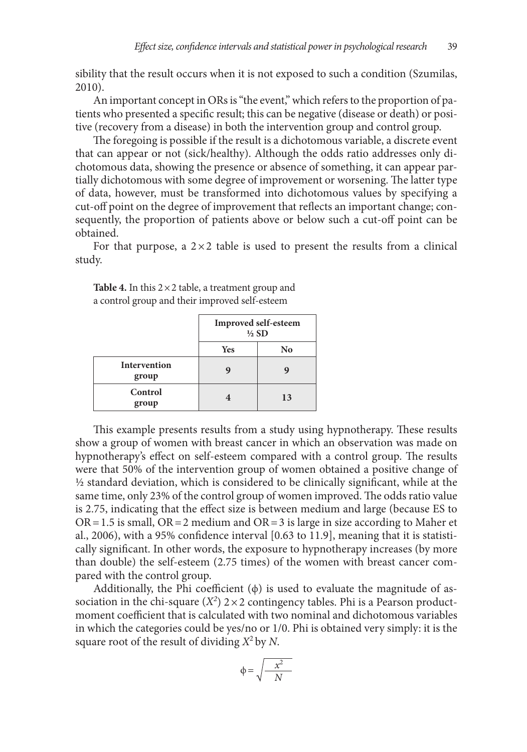sibility that the result occurs when it is not exposed to such a condition (Szumilas, 2010).

An important concept in ORs is "the event," which refers to the proportion of patients who presented a specific result; this can be negative (disease or death) or positive (recovery from a disease) in both the intervention group and control group.

The foregoing is possible if the result is a dichotomous variable, a discrete event that can appear or not (sick/healthy). Although the odds ratio addresses only dichotomous data, showing the presence or absence of something, it can appear partially dichotomous with some degree of improvement or worsening. The latter type of data, however, must be transformed into dichotomous values by specifying a cut-off point on the degree of improvement that reflects an important change; consequently, the proportion of patients above or below such a cut-off point can be obtained.

For that purpose, a  $2\times 2$  table is used to present the results from a clinical study.

|                              | Improved self-esteem<br>$\frac{1}{2}$ SD |                |
|------------------------------|------------------------------------------|----------------|
|                              | <b>Yes</b>                               | N <sub>0</sub> |
| <b>Intervention</b><br>group |                                          |                |
| Control<br>group             |                                          | 13             |

**Table 4.** In this  $2 \times 2$  table, a treatment group and a control group and their improved self-esteem

This example presents results from a study using hypnotherapy. These results show a group of women with breast cancer in which an observation was made on hypnotherapy's effect on self-esteem compared with a control group. The results were that 50% of the intervention group of women obtained a positive change of ½ standard deviation, which is considered to be clinically significant, while at the same time, only 23% of the control group of women improved. The odds ratio value is 2.75, indicating that the effect size is between medium and large (because ES to  $OR = 1.5$  is small,  $OR = 2$  medium and  $OR = 3$  is large in size according to Maher et al., 2006), with a 95% confidence interval [0.63 to 11.9], meaning that it is statistically significant. In other words, the exposure to hypnotherapy increases (by more than double) the self-esteem (2.75 times) of the women with breast cancer compared with the control group.

Additionally, the Phi coefficient  $(\phi)$  is used to evaluate the magnitude of association in the chi-square  $(X^2)$   $2 \times 2$  contingency tables. Phi is a Pearson productmoment coefficient that is calculated with two nominal and dichotomous variables in which the categories could be yes/no or 1/0. Phi is obtained very simply: it is the square root of the result of dividing *X*2 by *N*.

$$
\varphi=\sqrt{\frac{x^2}{N}}
$$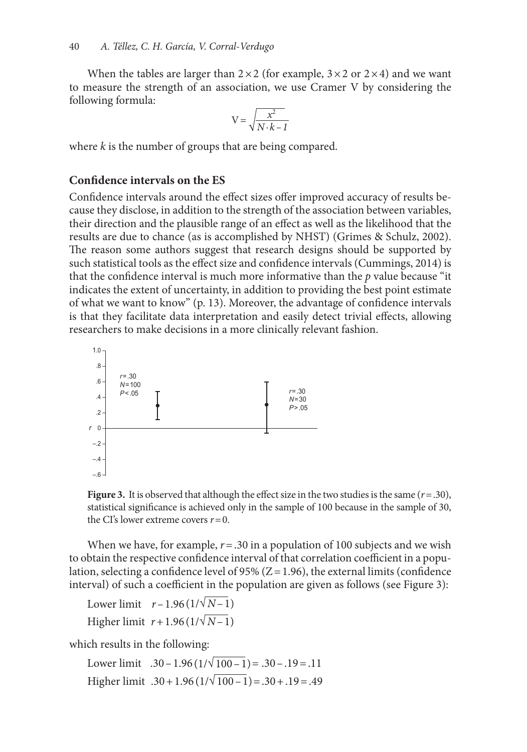When the tables are larger than  $2 \times 2$  (for example,  $3 \times 2$  or  $2 \times 4$ ) and we want to measure the strength of an association, we use Cramer V by considering the following formula:

$$
V = \sqrt{\frac{x^2}{N \cdot k - 1}}
$$

where *k* is the number of groups that are being compared.

## **Confidence intervals on the ES**

Confidence intervals around the effect sizes offer improved accuracy of results because they disclose, in addition to the strength of the association between variables, their direction and the plausible range of an effect as well as the likelihood that the results are due to chance (as is accomplished by NHST) (Grimes & Schulz, 2002). The reason some authors suggest that research designs should be supported by such statistical tools as the effect size and confidence intervals (Cummings, 2014) is that the confidence interval is much more informative than the *p* value because "it indicates the extent of uncertainty, in addition to providing the best point estimate of what we want to know" (p. 13). Moreover, the advantage of confidence intervals is that they facilitate data interpretation and easily detect trivial effects, allowing researchers to make decisions in a more clinically relevant fashion.



**Figure 3.** It is observed that although the effect size in the two studies is the same (*r*=.30), statistical significance is achieved only in the sample of 100 because in the sample of 30, the CI's lower extreme covers  $r=0$ .

When we have, for example,  $r = .30$  in a population of 100 subjects and we wish to obtain the respective confidence interval of that correlation coefficient in a population, selecting a confidence level of 95% ( $Z = 1.96$ ), the external limits (confidence interval) of such a coefficient in the population are given as follows (see Figure 3):

Lower limit  $r-1.96(1/\sqrt{N-1})$ Higher limit  $r + 1.96 (1/\sqrt{N-1})$ 

which results in the following:

Lower limit  $.30-1.96(1/\sqrt{100-1}) = .30-.19 = .11$ Higher limit  $.30 + 1.96 (1/\sqrt{100-1}) = .30 + .19 = .49$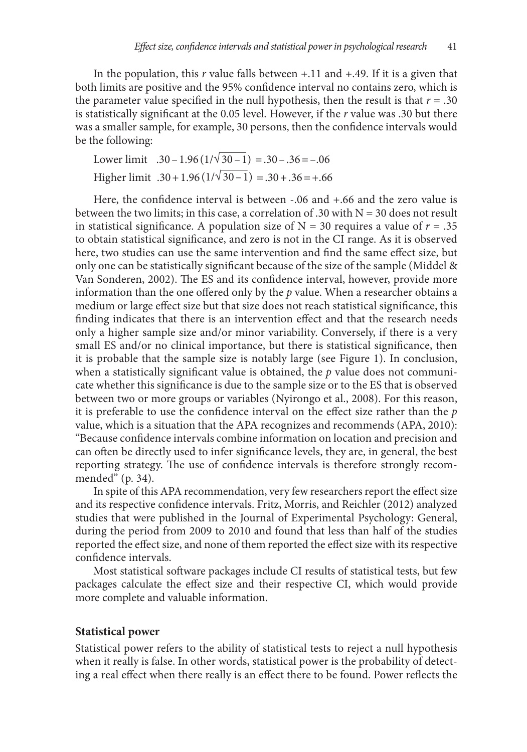In the population, this *r* value falls between +.11 and +.49. If it is a given that both limits are positive and the 95% confidence interval no contains zero, which is the parameter value specified in the null hypothesis, then the result is that  $r = .30$ is statistically significant at the 0.05 level. However, if the *r* value was .30 but there was a smaller sample, for example, 30 persons, then the confidence intervals would be the following:

Lower limit  $.30-1.96(1/\sqrt{30-1}) = .30-.36 = -.06$ Higher limit  $.30 + 1.96 (1/\sqrt{30-1}) = .30 + .36 = +.66$ 

Here, the confidence interval is between -.06 and +.66 and the zero value is between the two limits; in this case, a correlation of .30 with  $N = 30$  does not result in statistical significance. A population size of  $N = 30$  requires a value of  $r = .35$ to obtain statistical significance, and zero is not in the CI range. As it is observed here, two studies can use the same intervention and find the same effect size, but only one can be statistically significant because of the size of the sample (Middel & Van Sonderen, 2002). The ES and its confidence interval, however, provide more information than the one offered only by the *p* value. When a researcher obtains a medium or large effect size but that size does not reach statistical significance, this finding indicates that there is an intervention effect and that the research needs only a higher sample size and/or minor variability. Conversely, if there is a very small ES and/or no clinical importance, but there is statistical significance, then it is probable that the sample size is notably large (see Figure 1). In conclusion, when a statistically significant value is obtained, the *p* value does not communicate whether this significance is due to the sample size or to the ES that is observed between two or more groups or variables (Nyirongo et al., 2008). For this reason, it is preferable to use the confidence interval on the effect size rather than the *p* value, which is a situation that the APA recognizes and recommends (APA, 2010): "Because confidence intervals combine information on location and precision and can often be directly used to infer significance levels, they are, in general, the best reporting strategy. The use of confidence intervals is therefore strongly recommended" (p. 34).

In spite of this APA recommendation, very few researchers report the effect size and its respective confidence intervals. Fritz, Morris, and Reichler (2012) analyzed studies that were published in the Journal of Experimental Psychology: General, during the period from 2009 to 2010 and found that less than half of the studies reported the effect size, and none of them reported the effect size with its respective confidence intervals.

Most statistical software packages include CI results of statistical tests, but few packages calculate the effect size and their respective CI, which would provide more complete and valuable information.

### **Statistical power**

Statistical power refers to the ability of statistical tests to reject a null hypothesis when it really is false. In other words, statistical power is the probability of detecting a real effect when there really is an effect there to be found. Power reflects the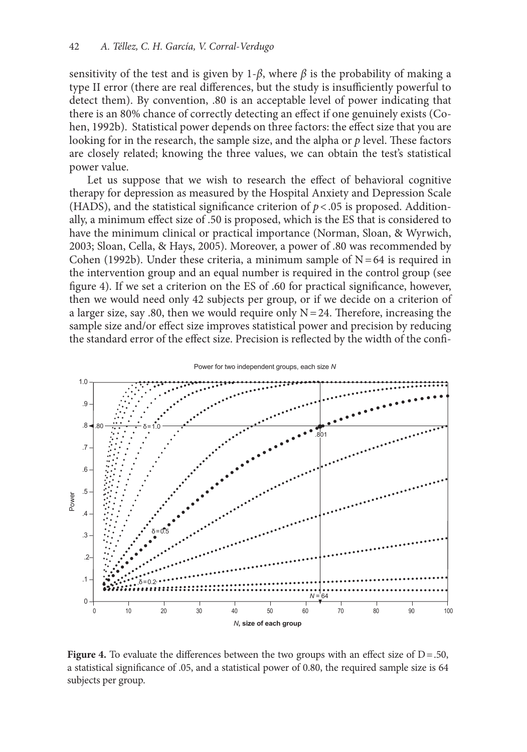sensitivity of the test and is given by  $1-\beta$ , where  $\beta$  is the probability of making a type II error (there are real differences, but the study is insufficiently powerful to detect them). By convention, .80 is an acceptable level of power indicating that there is an 80% chance of correctly detecting an effect if one genuinely exists (Cohen, 1992b). Statistical power depends on three factors: the effect size that you are looking for in the research, the sample size, and the alpha or *p* level. These factors are closely related; knowing the three values, we can obtain the test's statistical power value.

Let us suppose that we wish to research the effect of behavioral cognitive therapy for depression as measured by the Hospital Anxiety and Depression Scale (HADS), and the statistical significance criterion of  $p < .05$  is proposed. Additionally, a minimum effect size of .50 is proposed, which is the ES that is considered to have the minimum clinical or practical importance (Norman, Sloan, & Wyrwich, 2003; Sloan, Cella, & Hays, 2005). Moreover, a power of .80 was recommended by Cohen (1992b). Under these criteria, a minimum sample of  $N=64$  is required in the intervention group and an equal number is required in the control group (see figure 4). If we set a criterion on the ES of .60 for practical significance, however, then we would need only 42 subjects per group, or if we decide on a criterion of a larger size, say .80, then we would require only  $N=24$ . Therefore, increasing the sample size and/or effect size improves statistical power and precision by reducing the standard error of the effect size. Precision is reflected by the width of the confi-



**Figure 4.** To evaluate the differences between the two groups with an effect size of  $D = .50$ , a statistical significance of .05, and a statistical power of 0.80, the required sample size is 64 subjects per group.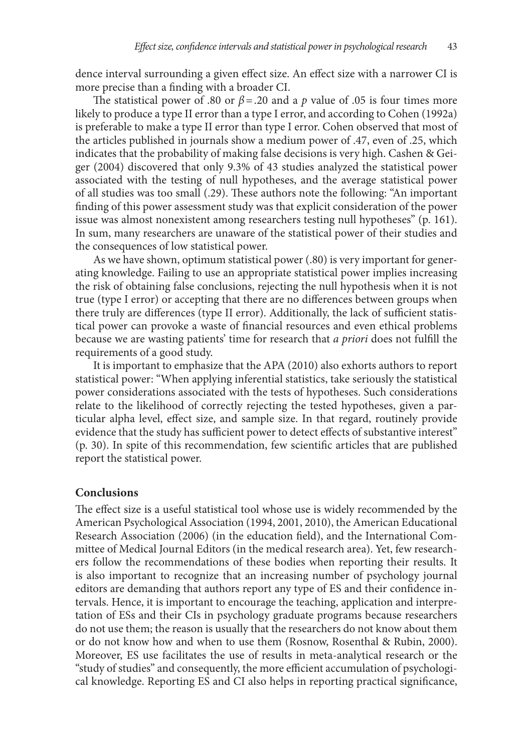dence interval surrounding a given effect size. An effect size with a narrower CI is more precise than a finding with a broader CI.

The statistical power of .80 or  $\beta$  = .20 and a p value of .05 is four times more likely to produce a type II error than a type I error, and according to Cohen (1992a) is preferable to make a type II error than type I error. Cohen observed that most of the articles published in journals show a medium power of .47, even of .25, which indicates that the probability of making false decisions is very high. Cashen & Geiger (2004) discovered that only 9.3% of 43 studies analyzed the statistical power associated with the testing of null hypotheses, and the average statistical power of all studies was too small (.29). These authors note the following: "An important finding of this power assessment study was that explicit consideration of the power issue was almost nonexistent among researchers testing null hypotheses" (p. 161). In sum, many researchers are unaware of the statistical power of their studies and the consequences of low statistical power.

As we have shown, optimum statistical power (.80) is very important for generating knowledge. Failing to use an appropriate statistical power implies increasing the risk of obtaining false conclusions, rejecting the null hypothesis when it is not true (type I error) or accepting that there are no differences between groups when there truly are differences (type II error). Additionally, the lack of sufficient statistical power can provoke a waste of financial resources and even ethical problems because we are wasting patients' time for research that *a priori* does not fulfill the requirements of a good study.

It is important to emphasize that the APA (2010) also exhorts authors to report statistical power: "When applying inferential statistics, take seriously the statistical power considerations associated with the tests of hypotheses. Such considerations relate to the likelihood of correctly rejecting the tested hypotheses, given a particular alpha level, effect size, and sample size. In that regard, routinely provide evidence that the study has sufficient power to detect effects of substantive interest" (p. 30). In spite of this recommendation, few scientific articles that are published report the statistical power.

## **Conclusions**

The effect size is a useful statistical tool whose use is widely recommended by the American Psychological Association (1994, 2001, 2010), the American Educational Research Association (2006) (in the education field), and the International Committee of Medical Journal Editors (in the medical research area). Yet, few researchers follow the recommendations of these bodies when reporting their results. It is also important to recognize that an increasing number of psychology journal editors are demanding that authors report any type of ES and their confidence intervals. Hence, it is important to encourage the teaching, application and interpretation of ESs and their CIs in psychology graduate programs because researchers do not use them; the reason is usually that the researchers do not know about them or do not know how and when to use them (Rosnow, Rosenthal & Rubin, 2000). Moreover, ES use facilitates the use of results in meta-analytical research or the "study of studies" and consequently, the more efficient accumulation of psychological knowledge. Reporting ES and CI also helps in reporting practical significance,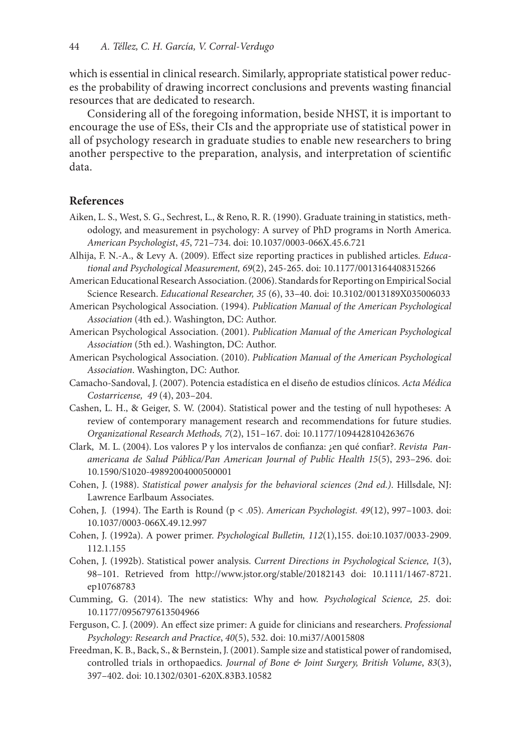which is essential in clinical research. Similarly, appropriate statistical power reduces the probability of drawing incorrect conclusions and prevents wasting financial resources that are dedicated to research.

Considering all of the foregoing information, beside NHST, it is important to encourage the use of ESs, their CIs and the appropriate use of statistical power in all of psychology research in graduate studies to enable new researchers to bring another perspective to the preparation, analysis, and interpretation of scientific data.

## **References**

- Aiken, L. S., West, S. G., Sechrest, L., & Reno, R. R. (1990). Graduate training in statistics, methodology, and measurement in psychology: A survey of PhD programs in North America. *American Psychologist*, *45*, 721–734. doi: 10.1037/0003-066X.45.6.721
- Alhija, F. N.-A., & Levy A. (2009). Effect size reporting practices in published articles. *Educational and Psychological Measurement, 69*(2), 245-265. doi: 10.1177/0013164408315266
- American Educational Research Association. (2006). Standards for Reporting on Empirical Social Science Research. *Educational Researcher, 35* (6), 33–40. doi: 10.3102/0013189X035006033
- American Psychological Association. (1994). *Publication Manual of the American Psychological Association* (4th ed.). Washington, DC: Author.
- American Psychological Association. (2001). *Publication Manual of the American Psychological Association* (5th ed.). Washington, DC: Author.
- American Psychological Association. (2010). *Publication Manual of the American Psychological Association*. Washington, DC: Author.
- Camacho-Sandoval, J. (2007). Potencia estadística en el diseño de estudios clínicos. *Acta Médica Costarricense, 49* (4), 203–204.
- Cashen, L. H., & Geiger, S. W. (2004). Statistical power and the testing of null hypotheses: A review of contemporary management research and recommendations for future studies. *Organizational Research Methods, 7*(2), 151–167. doi: 10.1177/1094428104263676
- Clark, M. L. (2004). Los valores P y los intervalos de confianza: ¿en qué confiar?. *Revista Panamericana de Salud Pública/Pan American Journal of Public Health 15*(5), 293–296. doi: 10.1590/S1020-49892004000500001
- Cohen, J. (1988). *Statistical power analysis for the behavioral sciences (2nd ed.)*. Hillsdale, NJ: Lawrence Earlbaum Associates.
- Cohen, J. (1994). The Earth is Round (p < .05). *American Psychologist. 49*(12), 997–1003. doi: 10.1037/0003-066X.49.12.997
- Cohen, J. (1992a). A power primer. *Psychological Bulletin, 112*(1),155. doi:10.1037/0033-2909. 112.1.155
- Cohen, J. (1992b). Statistical power analysis. *Current Directions in Psychological Science, 1*(3), 98–101. Retrieved from http://www.jstor.org/stable/20182143 doi: 10.1111/1467-8721. ep10768783
- Cumming, G. (2014). The new statistics: Why and how. *Psychological Science, 25*. doi: 10.1177/0956797613504966
- Ferguson, C. J. (2009). An effect size primer: A guide for clinicians and researchers. *Professional Psychology: Research and Practice*, *40*(5), 532. doi: 10.mi37/A0015808
- Freedman, K. B., Back, S., & Bernstein, J. (2001). Sample size and statistical power of randomised, controlled trials in orthopaedics. *Journal of Bone & Joint Surgery, British Volume*, *83*(3), 397–402. doi: 10.1302/0301-620X.83B3.10582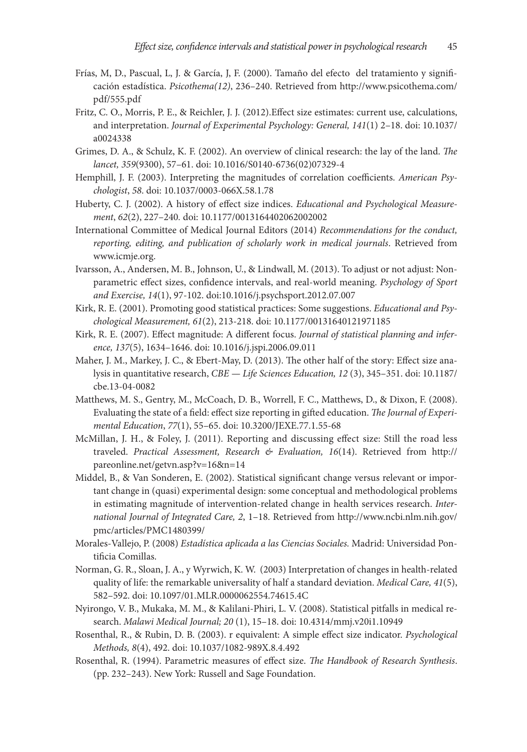- Frías, M, D., Pascual, L, J. & García, J, F. (2000). Tamaño del efecto del tratamiento y significación estadística. *Psicothema(12)*, 236–240. Retrieved from http://www.psicothema.com/ pdf/555.pdf
- Fritz, C. O., Morris, P. E., & Reichler, J. J. (2012).Effect size estimates: current use, calculations, and interpretation. *Journal of Experimental Psychology: General, 141*(1) 2–18. doi: 10.1037/ a0024338
- Grimes, D. A., & Schulz, K. F. (2002). An overview of clinical research: the lay of the land. *The lancet, 359*(9300), 57–61. doi: 10.1016/S0140-6736(02)07329-4
- Hemphill, J. F. (2003). Interpreting the magnitudes of correlation coefficients. *American Psychologist*, *58*. doi: 10.1037/0003-066X.58.1.78
- Huberty, C. J. (2002). A history of effect size indices. *Educational and Psychological Measurement*, *62*(2), 227–240*.* doi: 10.1177/0013164402062002002
- International Committee of Medical Journal Editors (2014) *Recommendations for the conduct, reporting, editing, and publication of scholarly work in medical journals*. Retrieved from www.icmje.org.
- Ivarsson, A., Andersen, M. B., Johnson, U., & Lindwall, M. (2013). To adjust or not adjust: Nonparametric effect sizes, confidence intervals, and real-world meaning. *Psychology of Sport and Exercise, 14*(1), 97-102. doi:10.1016/j.psychsport.2012.07.007
- Kirk, R. E. (2001). Promoting good statistical practices: Some suggestions. *Educational and Psychological Measurement, 61*(2), 213-218. doi: 10.1177/00131640121971185
- Kirk, R. E. (2007). Effect magnitude: A different focus. *Journal of statistical planning and inference, 137*(5), 1634–1646. doi: 10.1016/j.jspi.2006.09.011
- Maher, J. M., Markey, J. C., & Ebert-May, D. (2013). The other half of the story: Effect size analysis in quantitative research, *CBE — Life Sciences Education, 12* (3), 345–351. doi: 10.1187/ cbe.13-04-0082
- Matthews, M. S., Gentry, M., McCoach, D. B., Worrell, F. C., Matthews, D., & Dixon, F. (2008). Evaluating the state of a field: effect size reporting in gifted education. *The Journal of Experimental Education*, *77*(1), 55–65. doi: 10.3200/JEXE.77.1.55-68
- McMillan, J. H., & Foley, J. (2011). Reporting and discussing effect size: Still the road less traveled. *Practical Assessment, Research & Evaluation, 16*(14). Retrieved from http:// pareonline.net/getvn.asp?v=16&n=14
- Middel, B., & Van Sonderen, E. (2002). Statistical significant change versus relevant or important change in (quasi) experimental design: some conceptual and methodological problems in estimating magnitude of intervention-related change in health services research. *International Journal of Integrated Care, 2*, 1–18. Retrieved from http://www.ncbi.nlm.nih.gov/ pmc/articles/PMC1480399/
- Morales-Vallejo, P. (2008) *Estadística aplicada a las Ciencias Sociales.* Madrid: Universidad Pontificia Comillas.
- Norman, G. R., Sloan, J. A., y Wyrwich, K. W. (2003) Interpretation of changes in health-related quality of life: the remarkable universality of half a standard deviation. *Medical Care, 41*(5), 582–592. doi: 10.1097/01.MLR.0000062554.74615.4C
- Nyirongo, V. B., Mukaka, M. M., & Kalilani-Phiri, L. V. (2008). Statistical pitfalls in medical research. *Malawi Medical Journal; 20* (1), 15–18. doi: 10.4314/mmj.v20i1.10949
- Rosenthal, R., & Rubin, D. B. (2003). r equivalent: A simple effect size indicator. *Psychological Methods, 8*(4), 492. doi: 10.1037/1082-989X.8.4.492
- Rosenthal, R. (1994). Parametric measures of effect size. *The Handbook of Research Synthesis*. (pp. 232–243). New York: Russell and Sage Foundation.